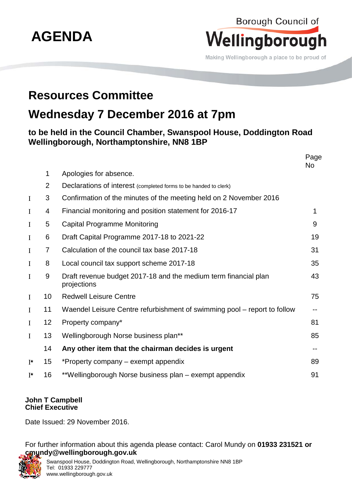

Borough Council of

## **John T Campbell Chief Executive**

Date Issued: 29 November 2016.

For further information about this agenda please contact: Carol Mundy on **01933 231521 or cmundy@wellingborough.gov.uk**



Swanspool House, Doddington Road, Wellingborough, Northamptonshire NN8 1BP Tel: 01933 229777 www.wellingborough.gov.uk